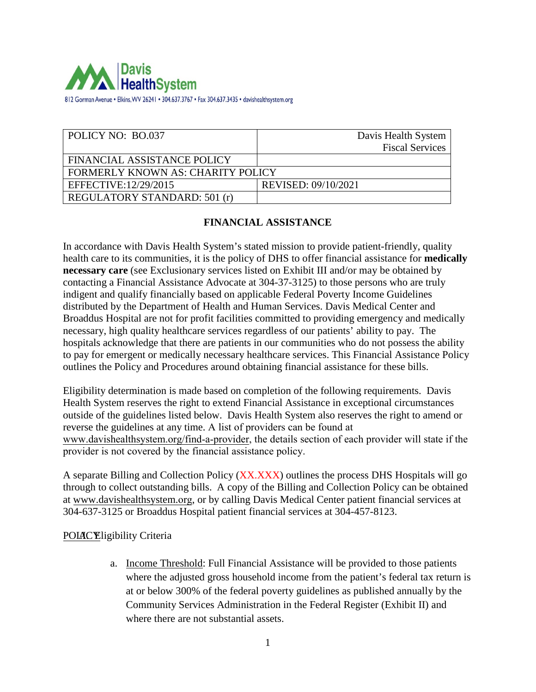

| POLICY NO: BO.037                        | Davis Health System    |
|------------------------------------------|------------------------|
|                                          | <b>Fiscal Services</b> |
| FINANCIAL ASSISTANCE POLICY              |                        |
| <b>FORMERLY KNOWN AS: CHARITY POLICY</b> |                        |
| EFFECTIVE:12/29/2015                     | REVISED: 09/10/2021    |
| <b>REGULATORY STANDARD: 501 (r)</b>      |                        |

### **FINANCIAL ASSISTANCE**

In accordance with Davis Health System's stated mission to provide patient-friendly, quality health care to its communities, it is the policy of DHS to offer financial assistance for **medically necessary care** (see Exclusionary services listed on Exhibit III and/or may be obtained by contacting a Financial Assistance Advocate at 304-37-3125) to those persons who are truly indigent and qualify financially based on applicable Federal Poverty Income Guidelines distributed by the Department of Health and Human Services. Davis Medical Center and Broaddus Hospital are not for profit facilities committed to providing emergency and medically necessary, high quality healthcare services regardless of our patients' ability to pay. The hospitals acknowledge that there are patients in our communities who do not possess the ability to pay for emergent or medically necessary healthcare services. This Financial Assistance Policy outlines the Policy and Procedures around obtaining financial assistance for these bills.

Eligibility determination is made based on completion of the following requirements. Davis Health System reserves the right to extend Financial Assistance in exceptional circumstances outside of the guidelines listed below. Davis Health System also reserves the right to amend or reverse the guidelines at any time. A list of providers can be found at www.davishealthsystem.org/find-a-provider, the details section of each provider will state if the provider is not covered by the financial assistance policy.

A separate Billing and Collection Policy (XX.XXX) outlines the process DHS Hospitals will go through to collect outstanding bills. A copy of the Billing and Collection Policy can be obtained at [www.davishealthsystem.](http://www.wvuhealthcare.com/)org, or by calling Davis Medical Center patient financial services at 304-637-3125 or Broaddus Hospital patient financial services at 304-457-8123.

#### POLAC Eligibility Criteria

a. Income Threshold: Full Financial Assistance will be provided to those patients where the adjusted gross household income from the patient's federal tax return is at or below 300% of the federal poverty guidelines as published annually by the Community Services Administration in the Federal Register (Exhibit II) and where there are not substantial assets.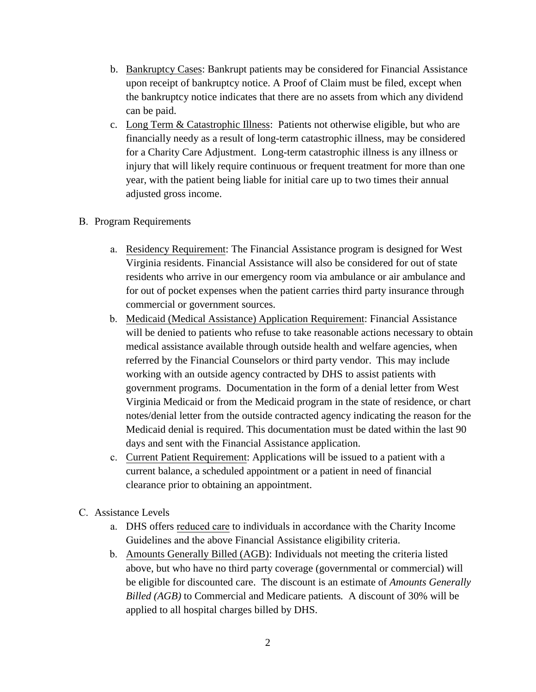- b. Bankruptcy Cases: Bankrupt patients may be considered for Financial Assistance upon receipt of bankruptcy notice. A Proof of Claim must be filed, except when the bankruptcy notice indicates that there are no assets from which any dividend can be paid.
- c. Long Term & Catastrophic Illness: Patients not otherwise eligible, but who are financially needy as a result of long-term catastrophic illness, may be considered for a Charity Care Adjustment. Long-term catastrophic illness is any illness or injury that will likely require continuous or frequent treatment for more than one year, with the patient being liable for initial care up to two times their annual adjusted gross income.
- B. Program Requirements
	- a. Residency Requirement: The Financial Assistance program is designed for West Virginia residents. Financial Assistance will also be considered for out of state residents who arrive in our emergency room via ambulance or air ambulance and for out of pocket expenses when the patient carries third party insurance through commercial or government sources.
	- b. Medicaid (Medical Assistance) Application Requirement: Financial Assistance will be denied to patients who refuse to take reasonable actions necessary to obtain medical assistance available through outside health and welfare agencies, when referred by the Financial Counselors or third party vendor. This may include working with an outside agency contracted by DHS to assist patients with government programs. Documentation in the form of a denial letter from West Virginia Medicaid or from the Medicaid program in the state of residence, or chart notes/denial letter from the outside contracted agency indicating the reason for the Medicaid denial is required. This documentation must be dated within the last 90 days and sent with the Financial Assistance application.
	- c. Current Patient Requirement: Applications will be issued to a patient with a current balance, a scheduled appointment or a patient in need of financial clearance prior to obtaining an appointment.
- C. Assistance Levels
	- a. DHS offers reduced care to individuals in accordance with the Charity Income Guidelines and the above Financial Assistance eligibility criteria.
	- b. Amounts Generally Billed (AGB): Individuals not meeting the criteria listed above, but who have no third party coverage (governmental or commercial) will be eligible for discounted care. The discount is an estimate of *Amounts Generally Billed (AGB)* to Commercial and Medicare patients*.* A discount of 30% will be applied to all hospital charges billed by DHS.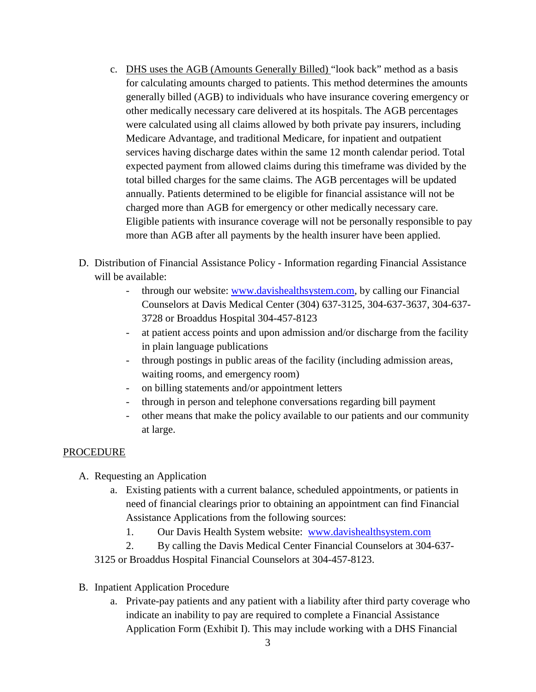- c. DHS uses the AGB (Amounts Generally Billed) "look back" method as a basis for calculating amounts charged to patients. This method determines the amounts generally billed (AGB) to individuals who have insurance covering emergency or other medically necessary care delivered at its hospitals. The AGB percentages were calculated using all claims allowed by both private pay insurers, including Medicare Advantage, and traditional Medicare, for inpatient and outpatient services having discharge dates within the same 12 month calendar period. Total expected payment from allowed claims during this timeframe was divided by the total billed charges for the same claims. The AGB percentages will be updated annually. Patients determined to be eligible for financial assistance will not be charged more than AGB for emergency or other medically necessary care. Eligible patients with insurance coverage will not be personally responsible to pay more than AGB after all payments by the health insurer have been applied.
- D. Distribution of Financial Assistance Policy Information regarding Financial Assistance will be available:
	- through our website: [www.davishealthsystem.com,](http://www.davishealthsystem.com/) by calling our Financial Counselors at Davis Medical Center (304) 637-3125, 304-637-3637, 304-637- 3728 or Broaddus Hospital 304-457-8123
	- at patient access points and upon admission and/or discharge from the facility in plain language publications
	- through postings in public areas of the facility (including admission areas, waiting rooms, and emergency room)
	- on billing statements and/or appointment letters
	- through in person and telephone conversations regarding bill payment
	- other means that make the policy available to our patients and our community at large.

### PROCEDURE

- A. Requesting an Application
	- a. Existing patients with a current balance, scheduled appointments, or patients in need of financial clearings prior to obtaining an appointment can find Financial Assistance Applications from the following sources:
		- 1. Our Davis Health System website: [www.davishealthsystem.com](http://www.davishealthsystem.com/)
	- 2. By calling the Davis Medical Center Financial Counselors at 304-637-

3125 or Broaddus Hospital Financial Counselors at 304-457-8123.

- B. Inpatient Application Procedure
	- a. Private-pay patients and any patient with a liability after third party coverage who indicate an inability to pay are required to complete a Financial Assistance Application Form (Exhibit I). This may include working with a DHS Financial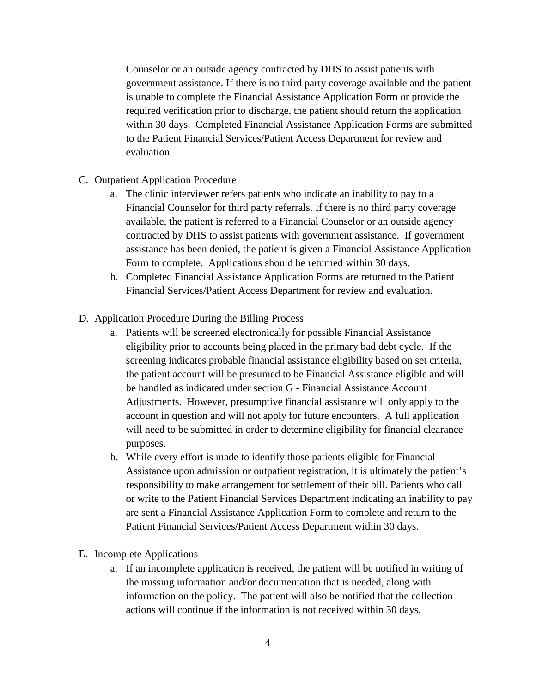Counselor or an outside agency contracted by DHS to assist patients with government assistance. If there is no third party coverage available and the patient is unable to complete the Financial Assistance Application Form or provide the required verification prior to discharge, the patient should return the application within 30 days. Completed Financial Assistance Application Forms are submitted to the Patient Financial Services/Patient Access Department for review and evaluation.

- C. Outpatient Application Procedure
	- a. The clinic interviewer refers patients who indicate an inability to pay to a Financial Counselor for third party referrals. If there is no third party coverage available, the patient is referred to a Financial Counselor or an outside agency contracted by DHS to assist patients with government assistance. If government assistance has been denied, the patient is given a Financial Assistance Application Form to complete. Applications should be returned within 30 days.
	- b. Completed Financial Assistance Application Forms are returned to the Patient Financial Services/Patient Access Department for review and evaluation.
- D. Application Procedure During the Billing Process
	- a. Patients will be screened electronically for possible Financial Assistance eligibility prior to accounts being placed in the primary bad debt cycle. If the screening indicates probable financial assistance eligibility based on set criteria, the patient account will be presumed to be Financial Assistance eligible and will be handled as indicated under section G - Financial Assistance Account Adjustments. However, presumptive financial assistance will only apply to the account in question and will not apply for future encounters. A full application will need to be submitted in order to determine eligibility for financial clearance purposes.
	- b. While every effort is made to identify those patients eligible for Financial Assistance upon admission or outpatient registration, it is ultimately the patient's responsibility to make arrangement for settlement of their bill. Patients who call or write to the Patient Financial Services Department indicating an inability to pay are sent a Financial Assistance Application Form to complete and return to the Patient Financial Services/Patient Access Department within 30 days.
- E. Incomplete Applications
	- a. If an incomplete application is received, the patient will be notified in writing of the missing information and/or documentation that is needed, along with information on the policy. The patient will also be notified that the collection actions will continue if the information is not received within 30 days.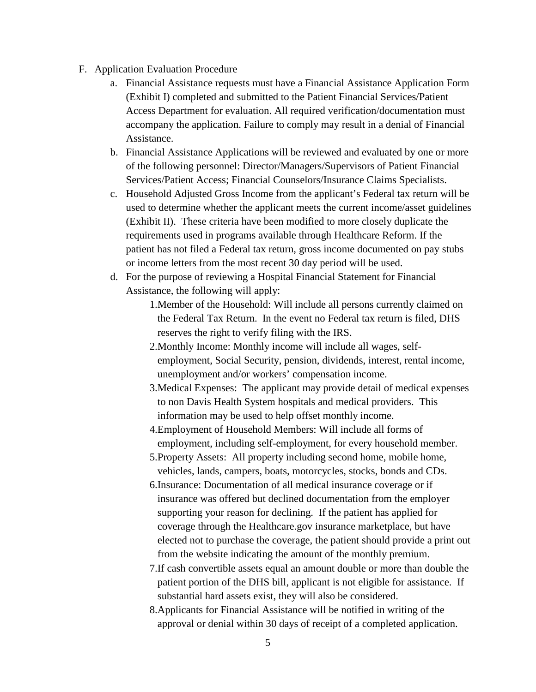- F. Application Evaluation Procedure
	- a. Financial Assistance requests must have a Financial Assistance Application Form (Exhibit I) completed and submitted to the Patient Financial Services/Patient Access Department for evaluation. All required verification/documentation must accompany the application. Failure to comply may result in a denial of Financial Assistance.
	- b. Financial Assistance Applications will be reviewed and evaluated by one or more of the following personnel: Director/Managers/Supervisors of Patient Financial Services/Patient Access; Financial Counselors/Insurance Claims Specialists.
	- c. Household Adjusted Gross Income from the applicant's Federal tax return will be used to determine whether the applicant meets the current income/asset guidelines (Exhibit II). These criteria have been modified to more closely duplicate the requirements used in programs available through Healthcare Reform. If the patient has not filed a Federal tax return, gross income documented on pay stubs or income letters from the most recent 30 day period will be used.
	- d. For the purpose of reviewing a Hospital Financial Statement for Financial Assistance, the following will apply:
		- 1.Member of the Household: Will include all persons currently claimed on the Federal Tax Return. In the event no Federal tax return is filed, DHS reserves the right to verify filing with the IRS.
		- 2.Monthly Income: Monthly income will include all wages, selfemployment, Social Security, pension, dividends, interest, rental income, unemployment and/or workers' compensation income.
		- 3.Medical Expenses: The applicant may provide detail of medical expenses to non Davis Health System hospitals and medical providers. This information may be used to help offset monthly income.
		- 4.Employment of Household Members: Will include all forms of employment, including self-employment, for every household member.
		- 5.Property Assets: All property including second home, mobile home, vehicles, lands, campers, boats, motorcycles, stocks, bonds and CDs.
		- 6.Insurance: Documentation of all medical insurance coverage or if insurance was offered but declined documentation from the employer supporting your reason for declining. If the patient has applied for coverage through the Healthcare.gov insurance marketplace, but have elected not to purchase the coverage, the patient should provide a print out from the website indicating the amount of the monthly premium.
		- 7.If cash convertible assets equal an amount double or more than double the patient portion of the DHS bill, applicant is not eligible for assistance. If substantial hard assets exist, they will also be considered.
		- 8.Applicants for Financial Assistance will be notified in writing of the approval or denial within 30 days of receipt of a completed application.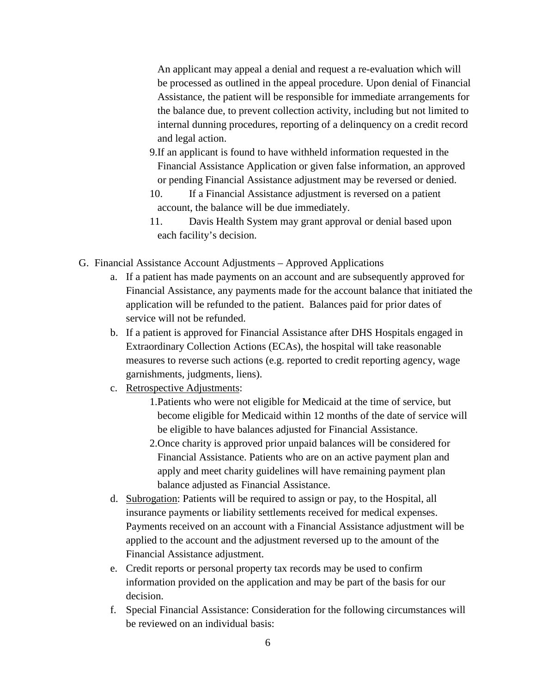An applicant may appeal a denial and request a re-evaluation which will be processed as outlined in the appeal procedure. Upon denial of Financial Assistance, the patient will be responsible for immediate arrangements for the balance due, to prevent collection activity, including but not limited to internal dunning procedures, reporting of a delinquency on a credit record and legal action.

- 9.If an applicant is found to have withheld information requested in the Financial Assistance Application or given false information, an approved or pending Financial Assistance adjustment may be reversed or denied.
- 10. If a Financial Assistance adjustment is reversed on a patient account, the balance will be due immediately.
- 11. Davis Health System may grant approval or denial based upon each facility's decision.
- G. Financial Assistance Account Adjustments Approved Applications
	- a. If a patient has made payments on an account and are subsequently approved for Financial Assistance, any payments made for the account balance that initiated the application will be refunded to the patient. Balances paid for prior dates of service will not be refunded.
	- b. If a patient is approved for Financial Assistance after DHS Hospitals engaged in Extraordinary Collection Actions (ECAs), the hospital will take reasonable measures to reverse such actions (e.g. reported to credit reporting agency, wage garnishments, judgments, liens).
	- c. Retrospective Adjustments:
		- 1.Patients who were not eligible for Medicaid at the time of service, but become eligible for Medicaid within 12 months of the date of service will be eligible to have balances adjusted for Financial Assistance.
		- 2.Once charity is approved prior unpaid balances will be considered for Financial Assistance. Patients who are on an active payment plan and apply and meet charity guidelines will have remaining payment plan balance adjusted as Financial Assistance.
	- d. Subrogation: Patients will be required to assign or pay, to the Hospital, all insurance payments or liability settlements received for medical expenses. Payments received on an account with a Financial Assistance adjustment will be applied to the account and the adjustment reversed up to the amount of the Financial Assistance adjustment.
	- e. Credit reports or personal property tax records may be used to confirm information provided on the application and may be part of the basis for our decision.
	- f. Special Financial Assistance: Consideration for the following circumstances will be reviewed on an individual basis: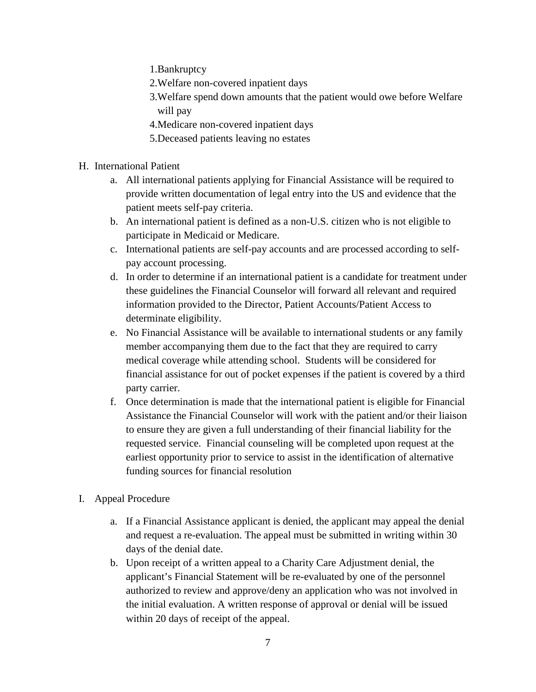1.Bankruptcy

- 2.Welfare non-covered inpatient days
- 3.Welfare spend down amounts that the patient would owe before Welfare will pay
- 4.Medicare non-covered inpatient days
- 5.Deceased patients leaving no estates
- H. International Patient
	- a. All international patients applying for Financial Assistance will be required to provide written documentation of legal entry into the US and evidence that the patient meets self-pay criteria.
	- b. An international patient is defined as a non-U.S. citizen who is not eligible to participate in Medicaid or Medicare.
	- c. International patients are self-pay accounts and are processed according to selfpay account processing.
	- d. In order to determine if an international patient is a candidate for treatment under these guidelines the Financial Counselor will forward all relevant and required information provided to the Director, Patient Accounts/Patient Access to determinate eligibility.
	- e. No Financial Assistance will be available to international students or any family member accompanying them due to the fact that they are required to carry medical coverage while attending school. Students will be considered for financial assistance for out of pocket expenses if the patient is covered by a third party carrier.
	- f. Once determination is made that the international patient is eligible for Financial Assistance the Financial Counselor will work with the patient and/or their liaison to ensure they are given a full understanding of their financial liability for the requested service. Financial counseling will be completed upon request at the earliest opportunity prior to service to assist in the identification of alternative funding sources for financial resolution
- I. Appeal Procedure
	- a. If a Financial Assistance applicant is denied, the applicant may appeal the denial and request a re-evaluation. The appeal must be submitted in writing within 30 days of the denial date.
	- b. Upon receipt of a written appeal to a Charity Care Adjustment denial, the applicant's Financial Statement will be re-evaluated by one of the personnel authorized to review and approve/deny an application who was not involved in the initial evaluation. A written response of approval or denial will be issued within 20 days of receipt of the appeal.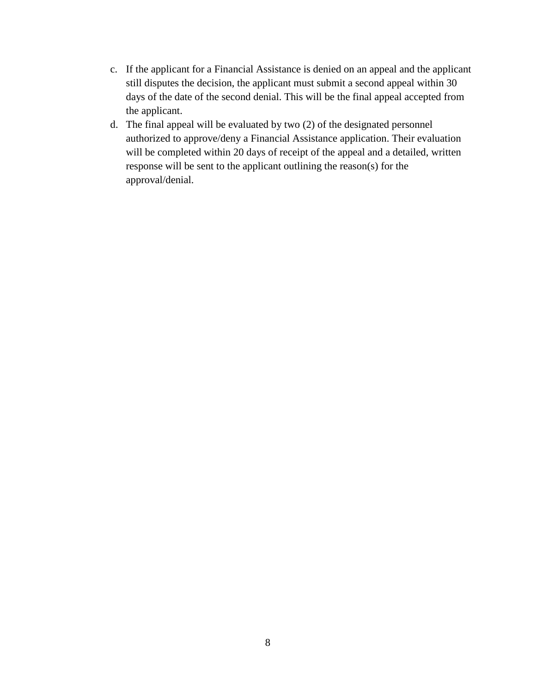- c. If the applicant for a Financial Assistance is denied on an appeal and the applicant still disputes the decision, the applicant must submit a second appeal within 30 days of the date of the second denial. This will be the final appeal accepted from the applicant.
- d. The final appeal will be evaluated by two (2) of the designated personnel authorized to approve/deny a Financial Assistance application. Their evaluation will be completed within 20 days of receipt of the appeal and a detailed, written response will be sent to the applicant outlining the reason(s) for the approval/denial.